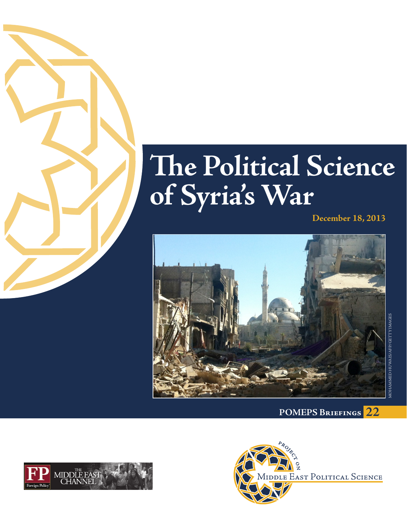

# **The Political Science of Syria's War**

**December 18, 2013**







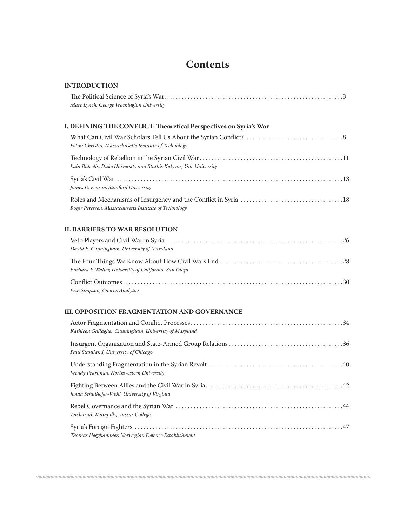# **Contents**

| <b>INTRODUCTION</b>                                                 |  |
|---------------------------------------------------------------------|--|
| Marc Lynch, George Washington University                            |  |
| I. DEFINING THE CONFLICT: Theoretical Perspectives on Syria's War   |  |
| Fotini Christia, Massachusetts Institute of Technology              |  |
| Laia Balcells, Duke University and Stathis Kalyvas, Yale University |  |
| James D. Fearon, Stanford University                                |  |
| Roger Petersen, Massachusetts Institute of Technology               |  |
| <b>II. BARRIERS TO WAR RESOLUTION</b>                               |  |
|                                                                     |  |

| David E. Cunningham, University of Maryland            |  |
|--------------------------------------------------------|--|
| Barbara F. Walter, University of California, San Diego |  |
| Erin Simpson, Caerus Analytics                         |  |

### **III. OPPOSITION FRAGMENTATION AND GOVERNANCE**

| Kathleen Gallagher Cunningham, University of Maryland |  |
|-------------------------------------------------------|--|
| Paul Staniland, University of Chicago                 |  |
| Wendy Pearlman, Northwestern University               |  |
| Jonah Schulhofer-Wohl, University of Virginia         |  |
| Zachariah Mampilly, Vassar College                    |  |
| Thomas Hegghammer, Norwegian Defence Establishment    |  |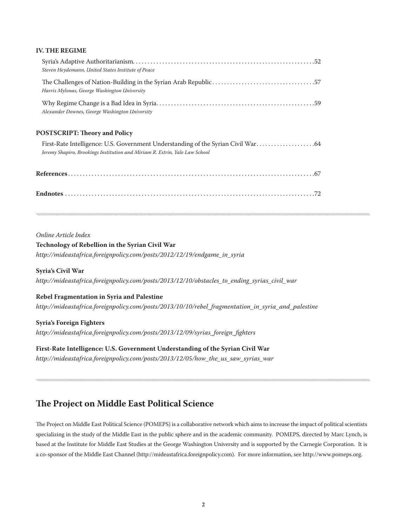#### **IV. THE REGIME**

| Steven Heydemann, United States Institute of Peace                          |  |
|-----------------------------------------------------------------------------|--|
| Harris Mylonas, George Washington University                                |  |
| Alexander Downes, George Washington University                              |  |
| <b>POSTSCRIPT: Theory and Policy</b>                                        |  |
| Jeremy Shapiro, Brookings Institution and Miriam R. Estrin, Yale Law School |  |
|                                                                             |  |
|                                                                             |  |
|                                                                             |  |

#### *Online Article Index*

#### **Technology of Rebellion in the Syrian Civil War**

*http://mideastafrica.foreignpolicy.com/posts/2012/12/19/endgame\_in\_syria* 

#### **Syria's Civil War**

*http://mideastafrica.foreignpolicy.com/posts/2013/12/10/obstacles\_to\_ending\_syrias\_civil\_war* 

#### **Rebel Fragmentation in Syria and Palestine**

*http://mideastafrica.foreignpolicy.com/posts/2013/10/10/rebel\_fragmentation\_in\_syria\_and\_palestine*

#### **Syria's Foreign Fighters**

*http://mideastafrica.foreignpolicy.com/posts/2013/12/09/syrias\_foreign\_fighters* 

#### **First-Rate Intelligence: U.S. Government Understanding of the Syrian Civil War**

*http://mideastafrica.foreignpolicy.com/posts/2013/12/05/how\_the\_us\_saw\_syrias\_war*

## **The Project on Middle East Political Science**

The Project on Middle East Political Science (POMEPS) is a collaborative network which aims to increase the impact of political scientists specializing in the study of the Middle East in the public sphere and in the academic community. POMEPS, directed by Marc Lynch, is based at the Institute for Middle East Studies at the George Washington University and is supported by the Carnegie Corporation. It is a co-sponsor of the Middle East Channel (http://mideastafrica.foreignpolicy.com). For more information, see http://www.pomeps.org.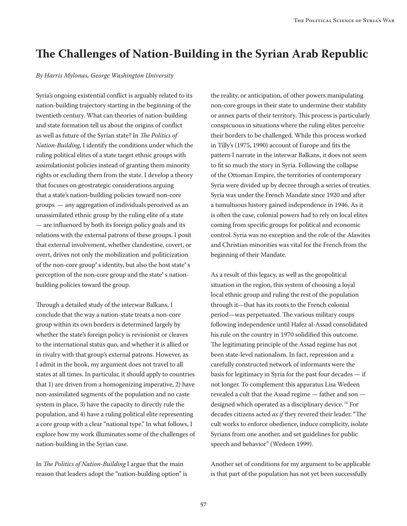# **The Challenges of Nation-Building in the Syrian Arab Republic**

#### *By Harris Mylonas, George Washington University*

Syria's ongoing existential conflict is arguably related to its nation-building trajectory starting in the beginning of the twentieth century. What can theories of nation-building and state formation tell us about the origins of conflict as well as future of the Syrian state? In *The Politics of Nation-Building*, I identify the conditions under which the ruling political elites of a state target ethnic groups with assimilationist policies instead of granting them minority rights or excluding them from the state. I develop a theory that focuses on geostrategic considerations arguing that a state's nation-building policies toward non-core groups — any aggregation of individuals perceived as an unassimilated ethnic group by the ruling elite of a state — are influenced by both its foreign policy goals and its relations with the external patrons of these groups. I posit that external involvement, whether clandestine, covert, or overt, drives not only the mobilization and politicization of the non-core group**'** s identity, but also the host state**'** s perception of the non-core group and the state**'** s nationbuilding policies toward the group.

Through a detailed study of the interwar Balkans, I conclude that the way a nation-state treats a non-core group within its own borders is determined largely by whether the state's foreign policy is revisionist or cleaves to the international status quo, and whether it is allied or in rivalry with that group's external patrons. However, as I admit in the book, my argument does not travel to all states at all times. In particular, it should apply to countries that 1) are driven from a homogenizing imperative, 2) have non-assimilated segments of the population and no caste system in place, 3) have the capacity to directly rule the population, and 4) have a ruling political elite representing a core group with a clear "national type." In what follows, I explore how my work illuminates some of the challenges of nation-building in the Syrian case.

In *The Politics of Nation-Building* I argue that the main reason that leaders adopt the "nation-building option" is the reality, or anticipation, of other powers manipulating non-core groups in their state to undermine their stability or annex parts of their territory. This process is particularly conspicuous in situations where the ruling elites perceive their borders to be challenged. While this process worked in Tilly's (1975, 1990) account of Europe and fits the pattern I narrate in the interwar Balkans, it does not seem to fit so much the story in Syria. Following the collapse of the Ottoman Empire, the territories of contemporary Syria were divided up by decree through a series of treaties. Syria was under the French Mandate since 1920 and after a tumultuous history gained independence in 1946. As it is often the case, colonial powers had to rely on local elites coming from specific groups for political and economic control. Syria was no exception and the role of the Alawites and Christian minorities was vital for the French from the beginning of their Mandate.

As a result of this legacy, as well as the geopolitical situation in the region, this system of choosing a loyal local ethnic group and ruling the rest of the population through it—that has its roots to the French colonial period—was perpetuated. The various military coups following independence until Hafez al-Assad consolidated his rule on the country in 1970 solidified this outcome. The legitimating principle of the Assad regime has not been state-level nationalism. In fact, repression and a carefully constructed network of informants were the basis for legitimacy in Syria for the past four decades — if not longer. To complement this apparatus Lisa Wedeen revealed a cult that the Assad regime — father and son designed which operated as a disciplinary device. <sup>16</sup> For decades citizens acted *as if* they revered their leader. "The cult works to enforce obedience, induce complicity, isolate Syrians from one another, and set guidelines for public speech and behavior" (Wedeen 1999).

Another set of conditions for my argument to be applicable is that part of the population has not yet been successfully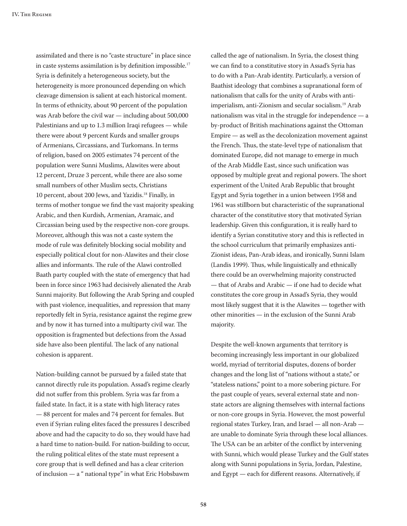assimilated and there is no "caste structure" in place since in caste systems assimilation is by definition impossible. 17 Syria is definitely a heterogeneous society, but the heterogeneity is more pronounced depending on which cleavage dimension is salient at each historical moment. In terms of ethnicity, about 90 percent of the population was Arab before the civil war — including about 500,000 Palestinians and up to 1.3 million Iraqi refugees — while there were about 9 percent Kurds and smaller groups of Armenians, Circassians, and Turkomans. In terms of religion, based on 2005 estimates 74 percent of the population were Sunni Muslims, Alawites were about 12 percent, Druze 3 percent, while there are also some small numbers of other Muslim sects, Christians 10 percent, about 200 Jews, and Yazidis. <sup>18</sup> Finally, in terms of mother tongue we find the vast majority speaking Arabic, and then Kurdish, Armenian, Aramaic, and Circassian being used by the respective non-core groups. Moreover, although this was not a caste system the mode of rule was definitely blocking social mobility and especially political clout for non-Alawites and their close allies and informants. The rule of the Alawi controlled Baath party coupled with the state of emergency that had been in force since 1963 had decisively alienated the Arab Sunni majority. But following the Arab Spring and coupled with past violence, inequalities, and repression that many reportedly felt in Syria, resistance against the regime grew and by now it has turned into a multiparty civil war. The opposition is fragmented but defections from the Assad side have also been plentiful. The lack of any national cohesion is apparent.

Nation-building cannot be pursued by a failed state that cannot directly rule its population. Assad's regime clearly did not suffer from this problem. Syria was far from a failed state. In fact, it is a state with high literacy rates — 88 percent for males and 74 percent for females. But even if Syrian ruling elites faced the pressures I described above and had the capacity to do so, they would have had a hard time to nation-build. For nation-building to occur, the ruling political elites of the state must represent a core group that is well defined and has a clear criterion of inclusion — a " national type" in what Eric Hobsbawm

called the age of nationalism. In Syria, the closest thing we can find to a constitutive story in Assad's Syria has to do with a Pan-Arab identity. Particularly, a version of Baathist ideology that combines a supranational form of nationalism that calls for the unity of Arabs with antiimperialism, anti-Zionism and secular socialism. <sup>19</sup> Arab nationalism was vital in the struggle for independence — a by-product of British machinations against the Ottoman Empire — as well as the decolonization movement against the French. Thus, the state-level type of nationalism that dominated Europe, did not manage to emerge in much of the Arab Middle East, since such unification was opposed by multiple great and regional powers. The short experiment of the United Arab Republic that brought Egypt and Syria together in a union between 1958 and 1961 was stillborn but characteristic of the supranational character of the constitutive story that motivated Syrian leadership. Given this configuration, it is really hard to identify a Syrian constitutive story and this is reflected in the school curriculum that primarily emphasizes anti-Zionist ideas, Pan-Arab ideas, and ironically, Sunni Islam (Landis 1999). Thus, while linguistically and ethnically there could be an overwhelming majority constructed — that of Arabs and Arabic — if one had to decide what constitutes the core group in Assad's Syria, they would most likely suggest that it is the Alawites — together with other minorities — in the exclusion of the Sunni Arab majority.

Despite the well-known arguments that territory is becoming increasingly less important in our globalized world, myriad of territorial disputes, dozens of border changes and the long list of "nations without a state," or "stateless nations," point to a more sobering picture. For the past couple of years, several external state and nonstate actors are aligning themselves with internal factions or non-core groups in Syria. However, the most powerful regional states Turkey, Iran, and Israel — all non-Arab are unable to dominate Syria through these local alliances. The USA can be an arbiter of the conflict by intervening with Sunni, which would please Turkey and the Gulf states along with Sunni populations in Syria, Jordan, Palestine, and Egypt — each for different reasons. Alternatively, if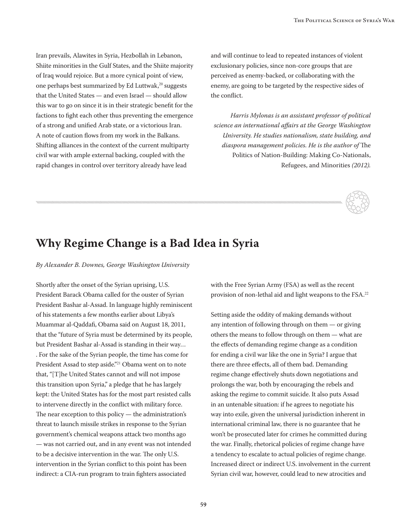Iran prevails, Alawites in Syria, Hezbollah in Lebanon, Shiite minorities in the Gulf States, and the Shiite majority of Iraq would rejoice. But a more cynical point of view, one perhaps best summarized by Ed Luttwak, $20$  suggests that the United States — and even Israel — should allow this war to go on since it is in their strategic benefit for the factions to fight each other thus preventing the emergence of a strong and unified Arab state, or a victorious Iran. A note of caution flows from my work in the Balkans. Shifting alliances in the context of the current multiparty civil war with ample external backing, coupled with the rapid changes in control over territory already have lead

and will continue to lead to repeated instances of violent exclusionary policies, since non-core groups that are perceived as enemy-backed, or collaborating with the enemy, are going to be targeted by the respective sides of the conflict.

*Harris Mylonas is an assistant professor of political science an international affairs at the George Washington University. He studies nationalism, state building, and diaspora management policies. He is the author of* The Politics of Nation-Building: Making Co-Nationals, Refugees, and Minorities *(2012).* 



## **Why Regime Change is a Bad Idea in Syria**

*By Alexander B. Downes, George Washington University*

Shortly after the onset of the Syrian uprising, U.S. President Barack Obama called for the ouster of Syrian President Bashar al-Assad. In language highly reminiscent of his statements a few months earlier about Libya's Muammar al-Qaddafi, Obama said on August 18, 2011, that the "future of Syria must be determined by its people, but President Bashar al-Assad is standing in their way… . For the sake of the Syrian people, the time has come for President Assad to step aside."<sup>21</sup> Obama went on to note that, "[T]he United States cannot and will not impose this transition upon Syria," a pledge that he has largely kept: the United States has for the most part resisted calls to intervene directly in the conflict with military force. The near exception to this policy — the administration's threat to launch missile strikes in response to the Syrian government's chemical weapons attack two months ago — was not carried out, and in any event was not intended to be a decisive intervention in the war. The only U.S. intervention in the Syrian conflict to this point has been indirect: a CIA-run program to train fighters associated

with the Free Syrian Army (FSA) as well as the recent provision of non-lethal aid and light weapons to the FSA. 22

Setting aside the oddity of making demands without any intention of following through on them — or giving others the means to follow through on them — what are the effects of demanding regime change as a condition for ending a civil war like the one in Syria? I argue that there are three effects, all of them bad. Demanding regime change effectively shuts down negotiations and prolongs the war, both by encouraging the rebels and asking the regime to commit suicide. It also puts Assad in an untenable situation: if he agrees to negotiate his way into exile, given the universal jurisdiction inherent in international criminal law, there is no guarantee that he won't be prosecuted later for crimes he committed during the war. Finally, rhetorical policies of regime change have a tendency to escalate to actual policies of regime change. Increased direct or indirect U.S. involvement in the current Syrian civil war, however, could lead to new atrocities and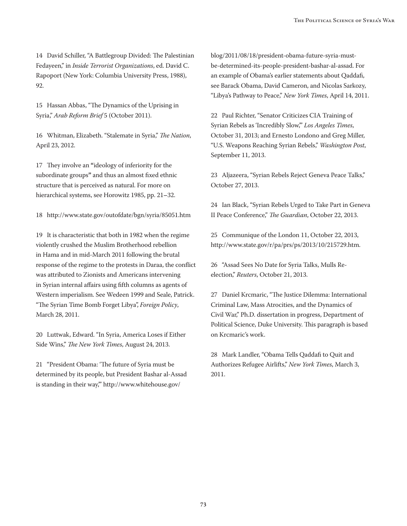14 David Schiller, "A Battlegroup Divided: The Palestinian Fedayeen," in *Inside Terrorist Organizations*, ed. David C. Rapoport (New York: Columbia University Press, 1988), 92.

15 Hassan Abbas, "The Dynamics of the Uprising in Syria," *Arab Reform Brief* 5 (October 2011).

16 Whitman, Elizabeth. "Stalemate in Syria," *The Nation*, April 23, 2012.

17 They involve an **"**ideology of inferiority for the subordinate groups**"** and thus an almost fixed ethnic structure that is perceived as natural. For more on hierarchical systems, see Horowitz 1985, pp. 21**–**32.

18 <http://www.state.gov/outofdate/bgn/syria/85051.htm>

19 It is characteristic that both in 1982 when the regime violently crushed the Muslim Brotherhood rebellion in Hama and in mid-March 2011 following the brutal response of the regime to the protests in Daraa, the conflict was attributed to Zionists and Americans intervening in Syrian internal affairs using fifth columns as agents of Western imperialism. See Wedeen 1999 and Seale, Patrick. "The Syrian Time Bomb Forget Libya", *Foreign Policy*, March 28, 2011.

20 Luttwak, Edward. "In Syria, America Loses if Either Side Wins," *The New York Times*, August 24, 2013.

21 "President Obama: 'The future of Syria must be determined by its people, but President Bashar al-Assad is standing in their way,'" http://www.whitehouse.gov/

blog/2011/08/18/president-obama-future-syria-mustbe-determined-its-people-president-bashar-al-assad. For an example of Obama's earlier statements about Qaddafi, see Barack Obama, David Cameron, and Nicolas Sarkozy, "Libya's Pathway to Peace," *New York Times*, April 14, 2011.

22 Paul Richter, "Senator Criticizes CIA Training of Syrian Rebels as 'Incredibly Slow,'" *Los Angeles Times*, October 31, 2013; and Ernesto Londono and Greg Miller, "U.S. Weapons Reaching Syrian Rebels," *Washington Post*, September 11, 2013.

23 Aljazeera, "Syrian Rebels Reject Geneva Peace Talks," October 27, 2013.

24 Ian Black, "Syrian Rebels Urged to Take Part in Geneva II Peace Conference," *The Guardian*, October 22, 2013.

25 Communique of the London 11, October 22, 2013, <http://www.state.gov/r/pa/prs/ps/2013/10/215729.htm>.

26 "Assad Sees No Date for Syria Talks, Mulls Reelection," *Reuters*, October 21, 2013.

27 Daniel Krcmaric, "The Justice Dilemma: International Criminal Law, Mass Atrocities, and the Dynamics of Civil War," Ph.D. dissertation in progress, Department of Political Science, Duke University. This paragraph is based on Krcmaric's work.

28 Mark Landler, "Obama Tells Qaddafi to Quit and Authorizes Refugee Airlifts," *New York Times*, March 3, 2011.